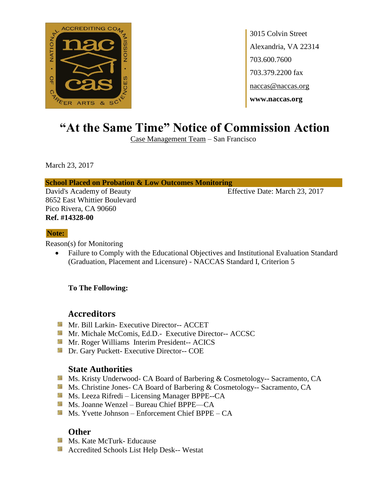

# **"At the Same Time" Notice of Commission Action**

Case Management Team – San Francisco

March 23, 2017

### **School Placed on Probation & Low Outcomes Monitoring**

David's Academy of Beauty Effective Date: March 23, 2017 8652 East Whittier Boulevard Pico Rivera, CA 90660 **Ref. #14328-00**

### **Note:**

Reason(s) for Monitoring

• Failure to Comply with the Educational Objectives and Institutional Evaluation Standard (Graduation, Placement and Licensure) - NACCAS Standard I, Criterion 5

### **To The Following:**

## **Accreditors**

- **Mr. Bill Larkin- Executive Director-- ACCET**
- Mr. Michale McComis, Ed.D.- Executive Director-- ACCSC
- **Mr. Roger Williams Interim President-- ACICS**
- **Dr.** Gary Puckett- Executive Director-- COE

## **State Authorities**

- Ms. Kristy Underwood- CA Board of Barbering & Cosmetology-- Sacramento, CA
- Ms. Christine Jones- CA Board of Barbering & Cosmetology-- Sacramento, CA
- Ms. Leeza Rifredi Licensing Manager BPPE--CA
- Ms. Joanne Wenzel Bureau Chief BPPE—CA
- $M$  Ms. Yvette Johnson Enforcement Chief BPPE CA

- **Ms. Kate McTurk- Educause**
- Accredited Schools List Help Desk-- Westat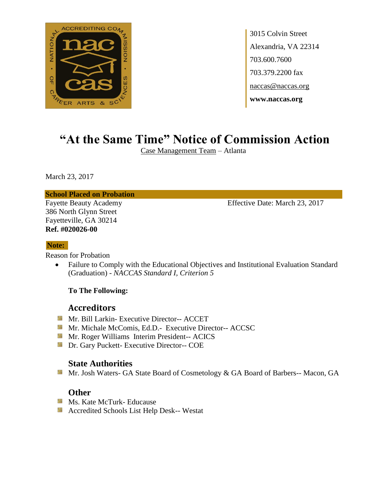

# **"At the Same Time" Notice of Commission Action**

Case Management Team – Atlanta

March 23, 2017

**School Placed on Probation**

386 North Glynn Street Fayetteville, GA 30214 **Ref. #020026-00**

Fayette Beauty Academy **Effective Date: March 23, 2017** 

### **Note:**

Reason for Probation

• Failure to Comply with the Educational Objectives and Institutional Evaluation Standard (Graduation) - *NACCAS Standard I, Criterion 5*

### **To The Following:**

## **Accreditors**

- Mr. Bill Larkin- Executive Director-- ACCET
- **Mr. Michale McComis, Ed.D.- Executive Director-- ACCSC**
- **Mr. Roger Williams Interim President-- ACICS**
- **Dr.** Gary Puckett- Executive Director-- COE

## **State Authorities**

Mr. Josh Waters- GA State Board of Cosmetology & GA Board of Barbers-- Macon, GA

- **Ms. Kate McTurk- Educause**
- **Accredited Schools List Help Desk-- Westat**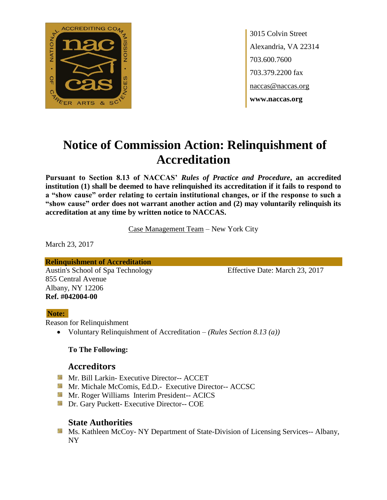

# **Notice of Commission Action: Relinquishment of Accreditation**

**Pursuant to Section 8.13 of NACCAS'** *Rules of Practice and Procedure***, an accredited institution (1) shall be deemed to have relinquished its accreditation if it fails to respond to a "show cause" order relating to certain institutional changes, or if the response to such a "show cause" order does not warrant another action and (2) may voluntarily relinquish its accreditation at any time by written notice to NACCAS.**

Case Management Team – New York City

March 23, 2017

**Relinquishment of Accreditation**

Austin's School of Spa Technology Effective Date: March 23, 2017 855 Central Avenue Albany, NY 12206 **Ref. #042004-00**

### **Note:**

Reason for Relinquishment

Voluntary Relinquishment of Accreditation – *(Rules Section 8.13 (a))*

### **To The Following:**

## **Accreditors**

- **Mr. Bill Larkin- Executive Director-- ACCET**
- **Mr. Michale McComis, Ed.D.- Executive Director-- ACCSC**
- **Mr. Roger Williams Interim President-- ACICS**
- **Dr.** Gary Puckett- Executive Director-- COE

## **State Authorities**

**Ms. Kathleen McCoy- NY Department of State-Division of Licensing Services-- Albany,** NY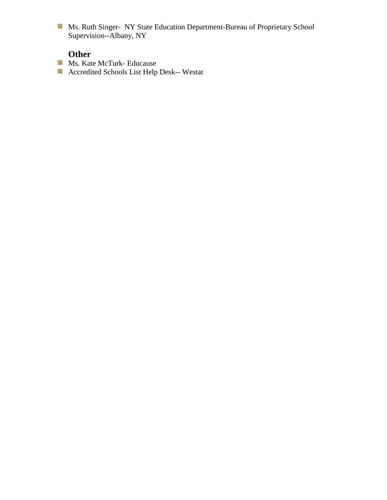Ms. Ruth Singer- NY State Education Department-Bureau of Proprietary School Supervision--Albany, NY

- **Ms. Kate McTurk- Educause**
- Accredited Schools List Help Desk-- Westat